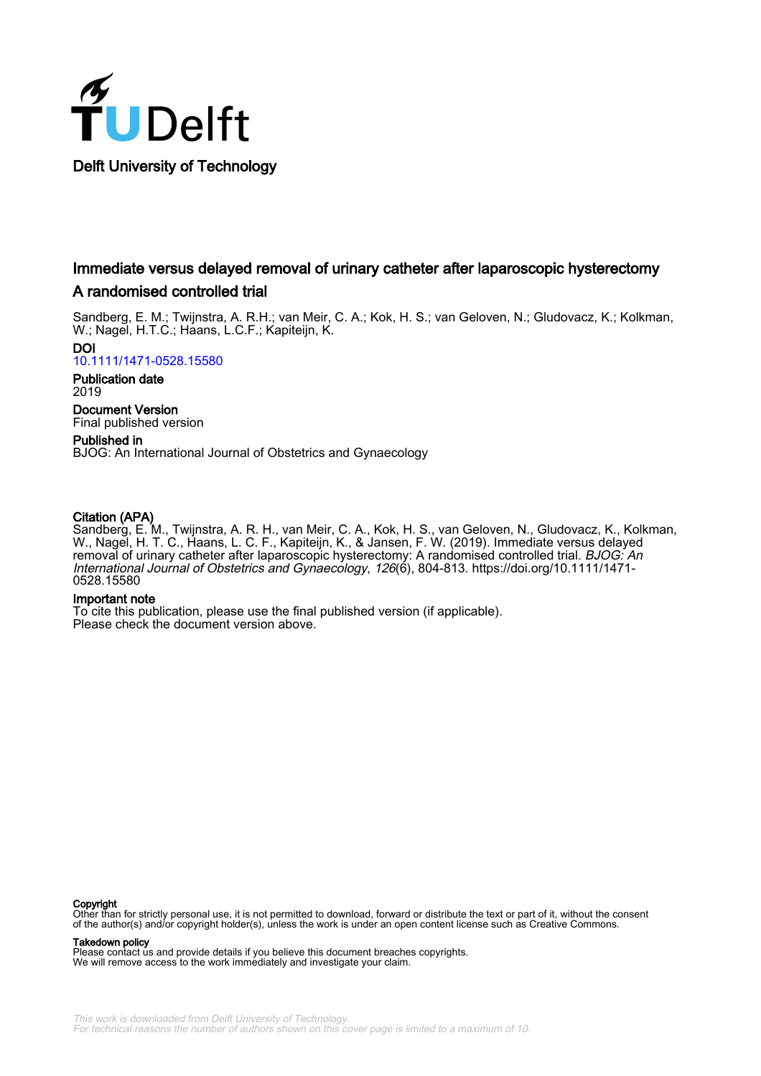

# Immediate versus delayed removal of urinary catheter after laparoscopic hysterectomy A randomised controlled trial

Sandberg, E. M.; Twijnstra, A. R.H.; van Meir, C. A.; Kok, H. S.; van Geloven, N.; Gludovacz, K.; Kolkman, W.; Nagel, H.T.C.; Haans, L.C.F.; Kapiteijn, K.

DOI [10.1111/1471-0528.15580](https://doi.org/10.1111/1471-0528.15580)

Publication date 2019

Document Version Final published version

Published in BJOG: An International Journal of Obstetrics and Gynaecology

## Citation (APA)

Sandberg, E. M., Twijnstra, A. R. H., van Meir, C. A., Kok, H. S., van Geloven, N., Gludovacz, K., Kolkman, W., Nagel, H. T. C., Haans, L. C. F., Kapiteijn, K., & Jansen, F. W. (2019). Immediate versus delayed removal of urinary catheter after laparoscopic hysterectomy: A randomised controlled trial. BJOG: An International Journal of Obstetrics and Gynaecology, 126(6), 804-813. [https://doi.org/10.1111/1471-](https://doi.org/10.1111/1471-0528.15580) [0528.15580](https://doi.org/10.1111/1471-0528.15580)

#### Important note

To cite this publication, please use the final published version (if applicable). Please check the document version above.

#### **Copyright**

Other than for strictly personal use, it is not permitted to download, forward or distribute the text or part of it, without the consent<br>of the author(s) and/or copyright holder(s), unless the work is under an open content

Takedown policy

Please contact us and provide details if you believe this document breaches copyrights. We will remove access to the work immediately and investigate your claim.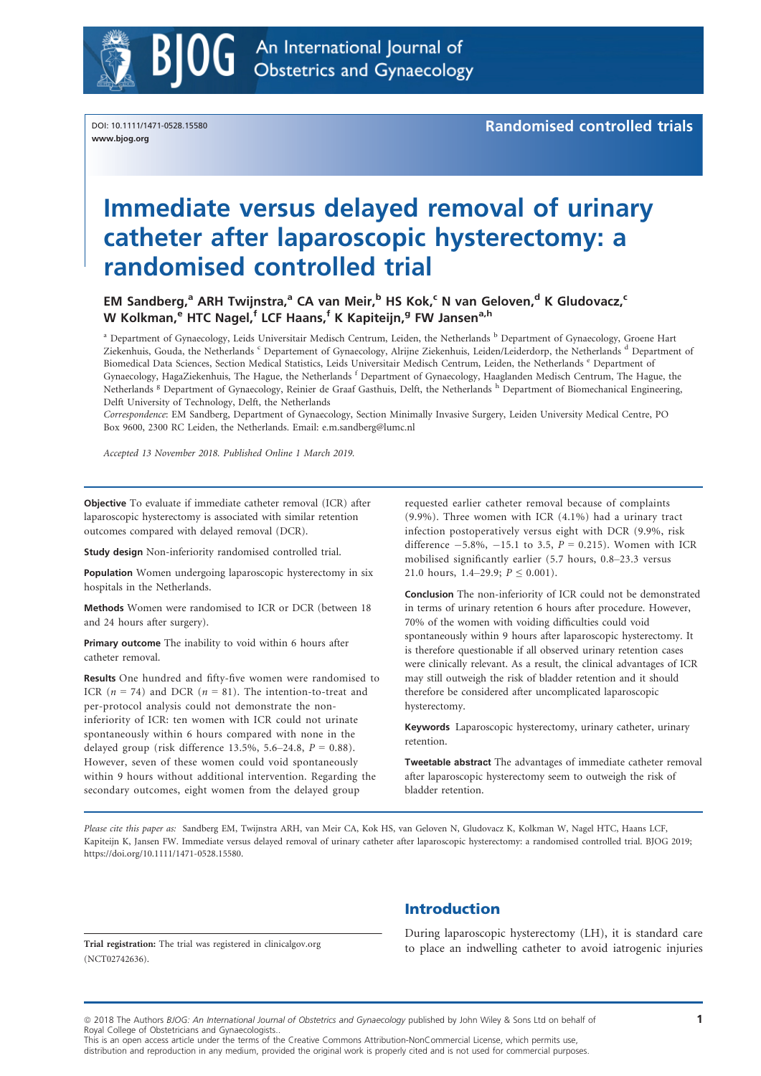

DOI: 10.1111/1471-0528.15580 www.bjog.org

Randomised controlled trials

# Immediate versus delayed removal of urinary catheter after laparoscopic hysterectomy: a randomised controlled trial

 $EM$  Sandberg,<sup>a</sup> ARH Twiinstra,<sup>a</sup> CA van Meir,<sup>b</sup> HS Kok,<sup>c</sup> N van Geloven,<sup>d</sup> K Gludovacz,<sup>c</sup> W Kolkman,<sup>e</sup> HTC Nagel,<sup>f</sup> LCF Haans,<sup>f</sup> K Kapiteijn,<sup>g</sup> FW Jansen<sup>a,h</sup>

<sup>a</sup> Department of Gynaecology, Leids Universitair Medisch Centrum, Leiden, the Netherlands <sup>b</sup> Department of Gynaecology, Groene Hart Ziekenhuis, Gouda, the Netherlands <sup>c</sup> Departement of Gynaecology, Alrijne Ziekenhuis, Leiden/Leiderdorp, the Netherlands <sup>d</sup> Department of Biomedical Data Sciences, Section Medical Statistics, Leids Universitair Medisch Centrum, Leiden, the Netherlands e Department of Gynaecology, HagaZiekenhuis, The Hague, the Netherlands <sup>f</sup> Department of Gynaecology, Haaglanden Medisch Centrum, The Hague, the Netherlands <sup>g</sup> Department of Gynaecology, Reinier de Graaf Gasthuis, Delft, the Netherlands <sup>h</sup> Department of Biomechanical Engineering, Delft University of Technology, Delft, the Netherlands

Correspondence: EM Sandberg, Department of Gynaecology, Section Minimally Invasive Surgery, Leiden University Medical Centre, PO Box 9600, 2300 RC Leiden, the Netherlands. Email: [e.m.sandberg@lumc.nl](mailto:)

Accepted 13 November 2018. Published Online 1 March 2019.

Objective To evaluate if immediate catheter removal (ICR) after laparoscopic hysterectomy is associated with similar retention outcomes compared with delayed removal (DCR).

Study design Non-inferiority randomised controlled trial.

Population Women undergoing laparoscopic hysterectomy in six hospitals in the Netherlands.

Methods Women were randomised to ICR or DCR (between 18 and 24 hours after surgery).

Primary outcome The inability to void within 6 hours after catheter removal.

Results One hundred and fifty-five women were randomised to ICR ( $n = 74$ ) and DCR ( $n = 81$ ). The intention-to-treat and per-protocol analysis could not demonstrate the noninferiority of ICR: ten women with ICR could not urinate spontaneously within 6 hours compared with none in the delayed group (risk difference 13.5%, 5.6–24.8,  $P = 0.88$ ). However, seven of these women could void spontaneously within 9 hours without additional intervention. Regarding the secondary outcomes, eight women from the delayed group

requested earlier catheter removal because of complaints (9.9%). Three women with ICR (4.1%) had a urinary tract infection postoperatively versus eight with DCR (9.9%, risk difference  $-5.8\%$ ,  $-15.1$  to 3.5,  $P = 0.215$ ). Women with ICR mobilised significantly earlier (5.7 hours, 0.8–23.3 versus 21.0 hours, 1.4–29.9;  $P \leq 0.001$ ).

Conclusion The non-inferiority of ICR could not be demonstrated in terms of urinary retention 6 hours after procedure. However, 70% of the women with voiding difficulties could void spontaneously within 9 hours after laparoscopic hysterectomy. It is therefore questionable if all observed urinary retention cases were clinically relevant. As a result, the clinical advantages of ICR may still outweigh the risk of bladder retention and it should therefore be considered after uncomplicated laparoscopic hysterectomy.

Keywords Laparoscopic hysterectomy, urinary catheter, urinary retention.

Tweetable abstract The advantages of immediate catheter removal after laparoscopic hysterectomy seem to outweigh the risk of bladder retention.

Please cite this paper as: Sandberg EM, Twijnstra ARH, van Meir CA, Kok HS, van Geloven N, Gludovacz K, Kolkman W, Nagel HTC, Haans LCF, Kapiteijn K, Jansen FW. Immediate versus delayed removal of urinary catheter after laparoscopic hysterectomy: a randomised controlled trial. BJOG 2019; [https://doi.org/10.1111/1471-0528.15580.](https://doi.org/10.1111/1471-0528.15580)

(NCT02742636).

## Introduction

During laparoscopic hysterectomy (LH), it is standard care Trial registration: The trial was registered in clinicalgov.org to place an indwelling catheter to avoid iatrogenic injuries

This is an open access article under the terms of the Creative Commons Attribution-NonCommercial License, which permits use, distribution and reproduction in any medium, provided the original work is properly cited and is not used for commercial purposes.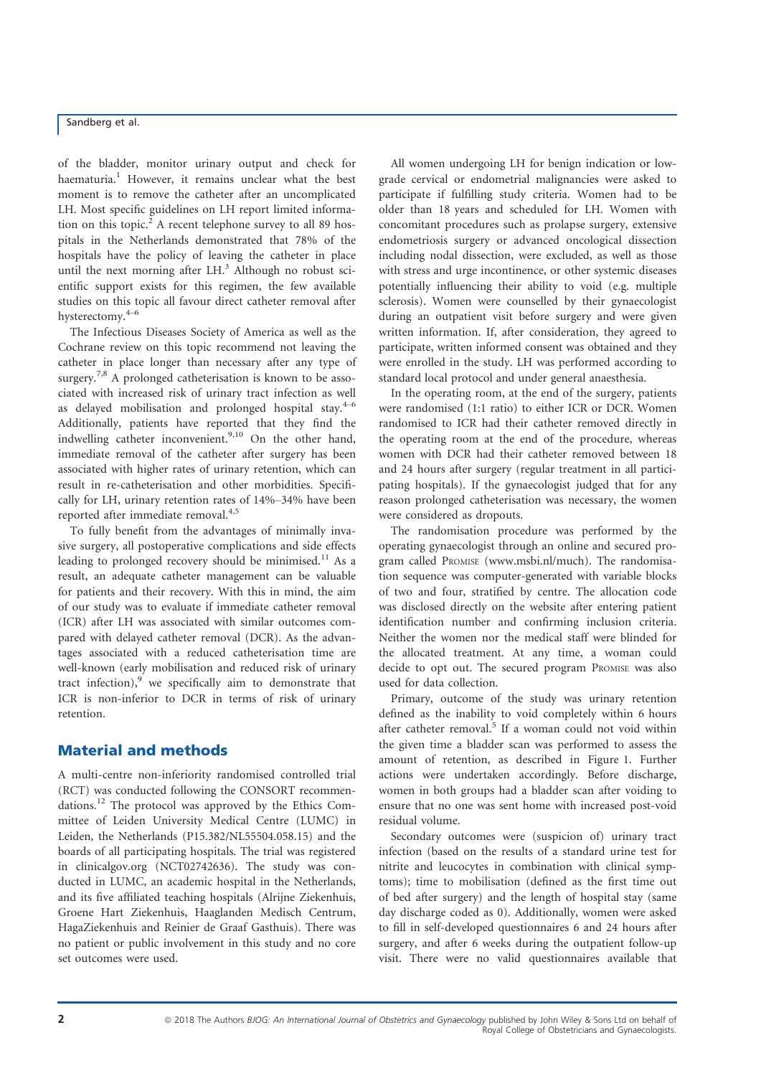of the bladder, monitor urinary output and check for haematuria.<sup>1</sup> However, it remains unclear what the best moment is to remove the catheter after an uncomplicated LH. Most specific guidelines on LH report limited information on this topic.<sup>2</sup> A recent telephone survey to all 89 hospitals in the Netherlands demonstrated that 78% of the hospitals have the policy of leaving the catheter in place until the next morning after  $LH$ .<sup>3</sup> Although no robust scientific support exists for this regimen, the few available studies on this topic all favour direct catheter removal after hysterectomy.4–<sup>6</sup>

The Infectious Diseases Society of America as well as the Cochrane review on this topic recommend not leaving the catheter in place longer than necessary after any type of surgery.<sup>7,8</sup> A prolonged catheterisation is known to be associated with increased risk of urinary tract infection as well as delayed mobilisation and prolonged hospital stay. $4-6$ Additionally, patients have reported that they find the indwelling catheter inconvenient. $9,10$  On the other hand, immediate removal of the catheter after surgery has been associated with higher rates of urinary retention, which can result in re-catheterisation and other morbidities. Specifically for LH, urinary retention rates of 14%–34% have been reported after immediate removal.<sup>4,5</sup>

To fully benefit from the advantages of minimally invasive surgery, all postoperative complications and side effects leading to prolonged recovery should be minimised.<sup>11</sup> As a result, an adequate catheter management can be valuable for patients and their recovery. With this in mind, the aim of our study was to evaluate if immediate catheter removal (ICR) after LH was associated with similar outcomes compared with delayed catheter removal (DCR). As the advantages associated with a reduced catheterisation time are well-known (early mobilisation and reduced risk of urinary tract infection), $9$  we specifically aim to demonstrate that ICR is non-inferior to DCR in terms of risk of urinary retention.

## Material and methods

A multi-centre non-inferiority randomised controlled trial (RCT) was conducted following the CONSORT recommendations.<sup>12</sup> The protocol was approved by the Ethics Committee of Leiden University Medical Centre (LUMC) in Leiden, the Netherlands (P15.382/NL55504.058.15) and the boards of all participating hospitals. The trial was registered in clinicalgov.org (NCT02742636). The study was conducted in LUMC, an academic hospital in the Netherlands, and its five affiliated teaching hospitals (Alrijne Ziekenhuis, Groene Hart Ziekenhuis, Haaglanden Medisch Centrum, HagaZiekenhuis and Reinier de Graaf Gasthuis). There was no patient or public involvement in this study and no core set outcomes were used.

All women undergoing LH for benign indication or lowgrade cervical or endometrial malignancies were asked to participate if fulfilling study criteria. Women had to be older than 18 years and scheduled for LH. Women with concomitant procedures such as prolapse surgery, extensive endometriosis surgery or advanced oncological dissection including nodal dissection, were excluded, as well as those with stress and urge incontinence, or other systemic diseases potentially influencing their ability to void (e.g. multiple sclerosis). Women were counselled by their gynaecologist during an outpatient visit before surgery and were given written information. If, after consideration, they agreed to participate, written informed consent was obtained and they were enrolled in the study. LH was performed according to standard local protocol and under general anaesthesia.

In the operating room, at the end of the surgery, patients were randomised (1:1 ratio) to either ICR or DCR. Women randomised to ICR had their catheter removed directly in the operating room at the end of the procedure, whereas women with DCR had their catheter removed between 18 and 24 hours after surgery (regular treatment in all participating hospitals). If the gynaecologist judged that for any reason prolonged catheterisation was necessary, the women were considered as dropouts.

The randomisation procedure was performed by the operating gynaecologist through an online and secured program called PROMISE ([www.msbi.nl/much](http://www.msbi.nl/much)). The randomisation sequence was computer-generated with variable blocks of two and four, stratified by centre. The allocation code was disclosed directly on the website after entering patient identification number and confirming inclusion criteria. Neither the women nor the medical staff were blinded for the allocated treatment. At any time, a woman could decide to opt out. The secured program PROMISE was also used for data collection.

Primary, outcome of the study was urinary retention defined as the inability to void completely within 6 hours after catheter removal.<sup>5</sup> If a woman could not void within the given time a bladder scan was performed to assess the amount of retention, as described in Figure 1. Further actions were undertaken accordingly. Before discharge, women in both groups had a bladder scan after voiding to ensure that no one was sent home with increased post-void residual volume.

Secondary outcomes were (suspicion of) urinary tract infection (based on the results of a standard urine test for nitrite and leucocytes in combination with clinical symptoms); time to mobilisation (defined as the first time out of bed after surgery) and the length of hospital stay (same day discharge coded as 0). Additionally, women were asked to fill in self-developed questionnaires 6 and 24 hours after surgery, and after 6 weeks during the outpatient follow-up visit. There were no valid questionnaires available that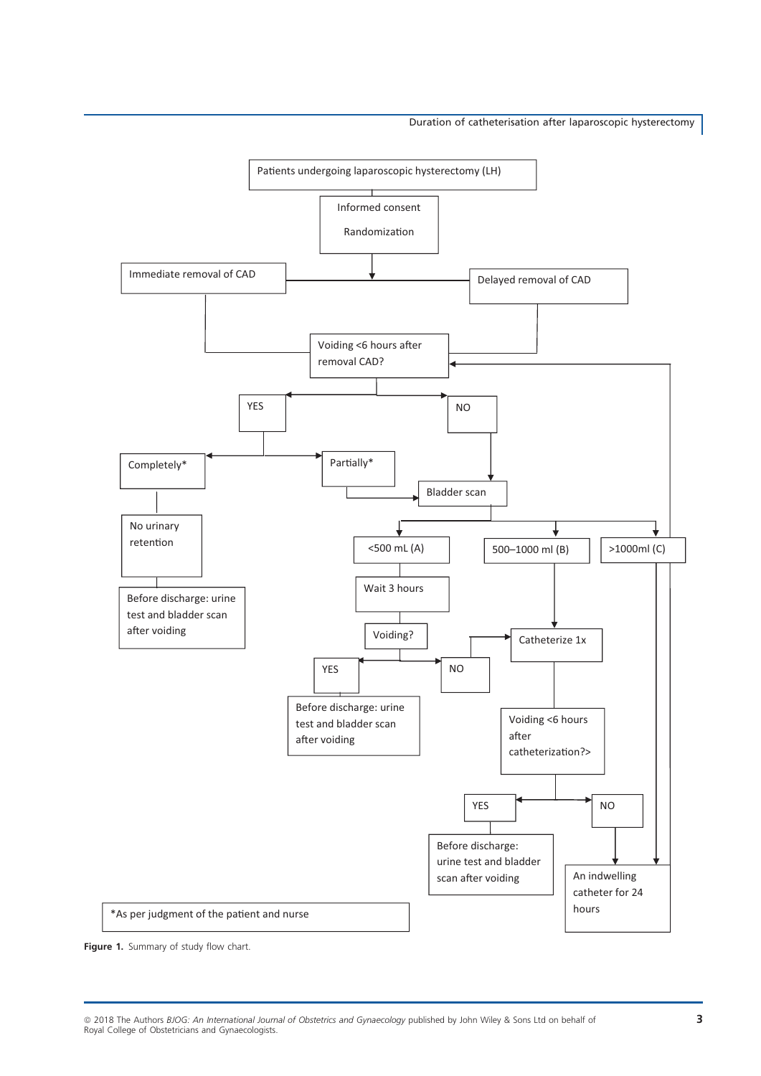Duration of catheterisation after laparoscopic hysterectomy



Figure 1. Summary of study flow chart.

<sup>&</sup>lt;sup>©</sup> 2018 The Authors BJOG: An International Journal of Obstetrics and Gynaecology published by John Wiley & Sons Ltd on behalf of 3 Royal College of Obstetricians and Gynaecologists.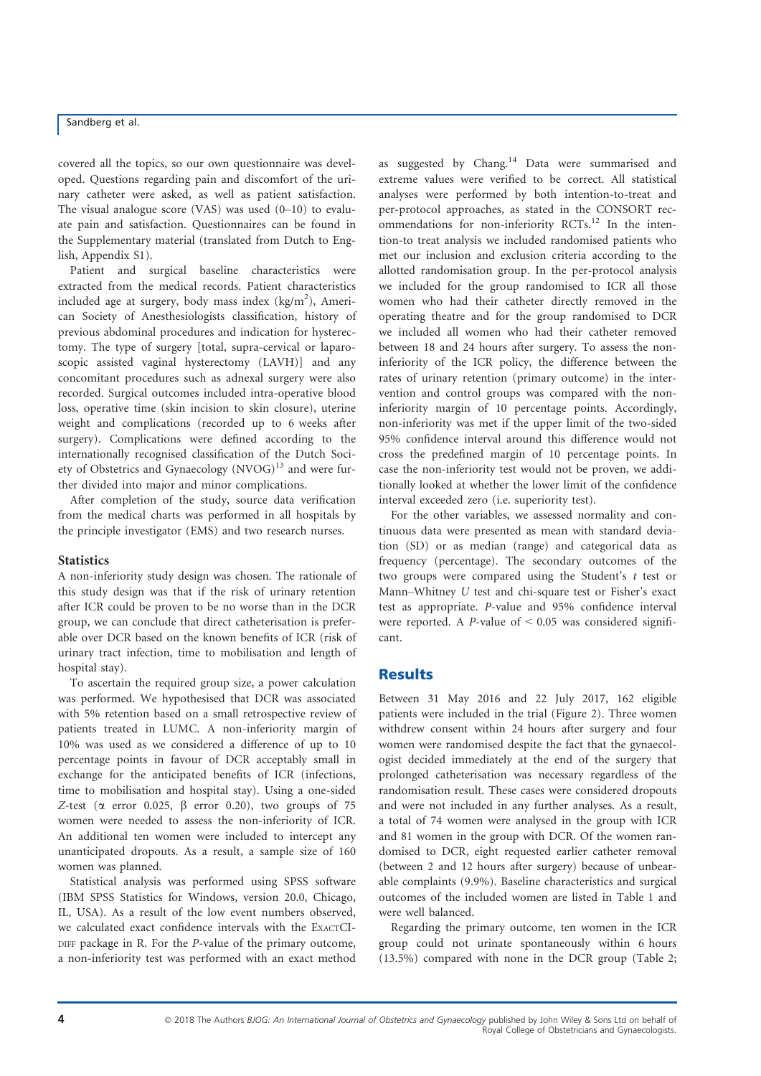covered all the topics, so our own questionnaire was developed. Questions regarding pain and discomfort of the urinary catheter were asked, as well as patient satisfaction. The visual analogue score (VAS) was used  $(0-10)$  to evaluate pain and satisfaction. Questionnaires can be found in the Supplementary material (translated from Dutch to English, Appendix S1).

Patient and surgical baseline characteristics were extracted from the medical records. Patient characteristics included age at surgery, body mass index  $(kg/m<sup>2</sup>)$ , American Society of Anesthesiologists classification, history of previous abdominal procedures and indication for hysterectomy. The type of surgery [total, supra-cervical or laparoscopic assisted vaginal hysterectomy (LAVH)] and any concomitant procedures such as adnexal surgery were also recorded. Surgical outcomes included intra-operative blood loss, operative time (skin incision to skin closure), uterine weight and complications (recorded up to 6 weeks after surgery). Complications were defined according to the internationally recognised classification of the Dutch Society of Obstetrics and Gynaecology  $(NVOG)^{13}$  and were further divided into major and minor complications.

After completion of the study, source data verification from the medical charts was performed in all hospitals by the principle investigator (EMS) and two research nurses.

#### **Statistics**

A non-inferiority study design was chosen. The rationale of this study design was that if the risk of urinary retention after ICR could be proven to be no worse than in the DCR group, we can conclude that direct catheterisation is preferable over DCR based on the known benefits of ICR (risk of urinary tract infection, time to mobilisation and length of hospital stay).

To ascertain the required group size, a power calculation was performed. We hypothesised that DCR was associated with 5% retention based on a small retrospective review of patients treated in LUMC. A non-inferiority margin of 10% was used as we considered a difference of up to 10 percentage points in favour of DCR acceptably small in exchange for the anticipated benefits of ICR (infections, time to mobilisation and hospital stay). Using a one-sided Z-test ( $\alpha$  error 0.025,  $\beta$  error 0.20), two groups of 75 women were needed to assess the non-inferiority of ICR. An additional ten women were included to intercept any unanticipated dropouts. As a result, a sample size of 160 women was planned.

Statistical analysis was performed using SPSS software (IBM SPSS Statistics for Windows, version 20.0, Chicago, IL, USA). As a result of the low event numbers observed, we calculated exact confidence intervals with the EXACTCI-DIFF package in R. For the P-value of the primary outcome, a non-inferiority test was performed with an exact method

as suggested by  $Chang.<sup>14</sup>$  Data were summarised and extreme values were verified to be correct. All statistical analyses were performed by both intention-to-treat and per-protocol approaches, as stated in the CONSORT recommendations for non-inferiority RCTs.<sup>12</sup> In the intention-to treat analysis we included randomised patients who met our inclusion and exclusion criteria according to the allotted randomisation group. In the per-protocol analysis we included for the group randomised to ICR all those women who had their catheter directly removed in the operating theatre and for the group randomised to DCR we included all women who had their catheter removed between 18 and 24 hours after surgery. To assess the noninferiority of the ICR policy, the difference between the rates of urinary retention (primary outcome) in the intervention and control groups was compared with the noninferiority margin of 10 percentage points. Accordingly, non-inferiority was met if the upper limit of the two-sided 95% confidence interval around this difference would not cross the predefined margin of 10 percentage points. In case the non-inferiority test would not be proven, we additionally looked at whether the lower limit of the confidence interval exceeded zero (i.e. superiority test).

For the other variables, we assessed normality and continuous data were presented as mean with standard deviation (SD) or as median (range) and categorical data as frequency (percentage). The secondary outcomes of the two groups were compared using the Student's t test or Mann–Whitney U test and chi-square test or Fisher's exact test as appropriate. P-value and 95% confidence interval were reported. A P-value of  $\leq 0.05$  was considered significant.

#### **Results**

Between 31 May 2016 and 22 July 2017, 162 eligible patients were included in the trial (Figure 2). Three women withdrew consent within 24 hours after surgery and four women were randomised despite the fact that the gynaecologist decided immediately at the end of the surgery that prolonged catheterisation was necessary regardless of the randomisation result. These cases were considered dropouts and were not included in any further analyses. As a result, a total of 74 women were analysed in the group with ICR and 81 women in the group with DCR. Of the women randomised to DCR, eight requested earlier catheter removal (between 2 and 12 hours after surgery) because of unbearable complaints (9.9%). Baseline characteristics and surgical outcomes of the included women are listed in Table 1 and were well balanced.

Regarding the primary outcome, ten women in the ICR group could not urinate spontaneously within 6 hours (13.5%) compared with none in the DCR group (Table 2;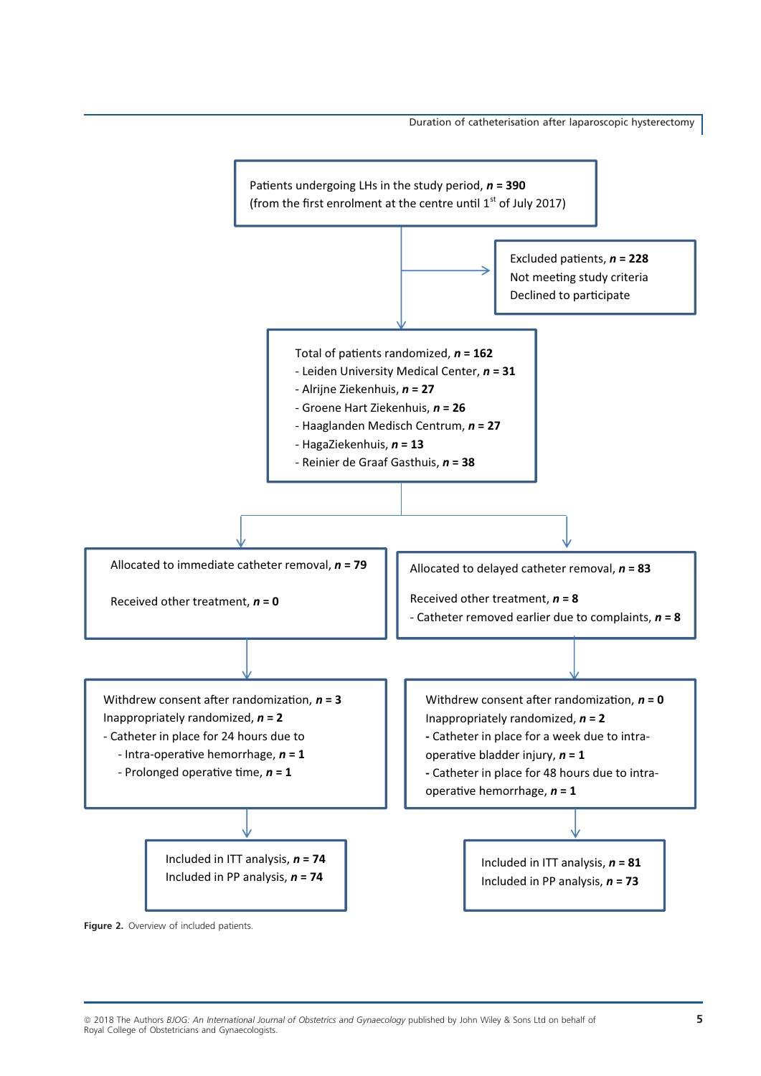Duration of catheterisation after laparoscopic hysterectomy



Figure 2. Overview of included patients.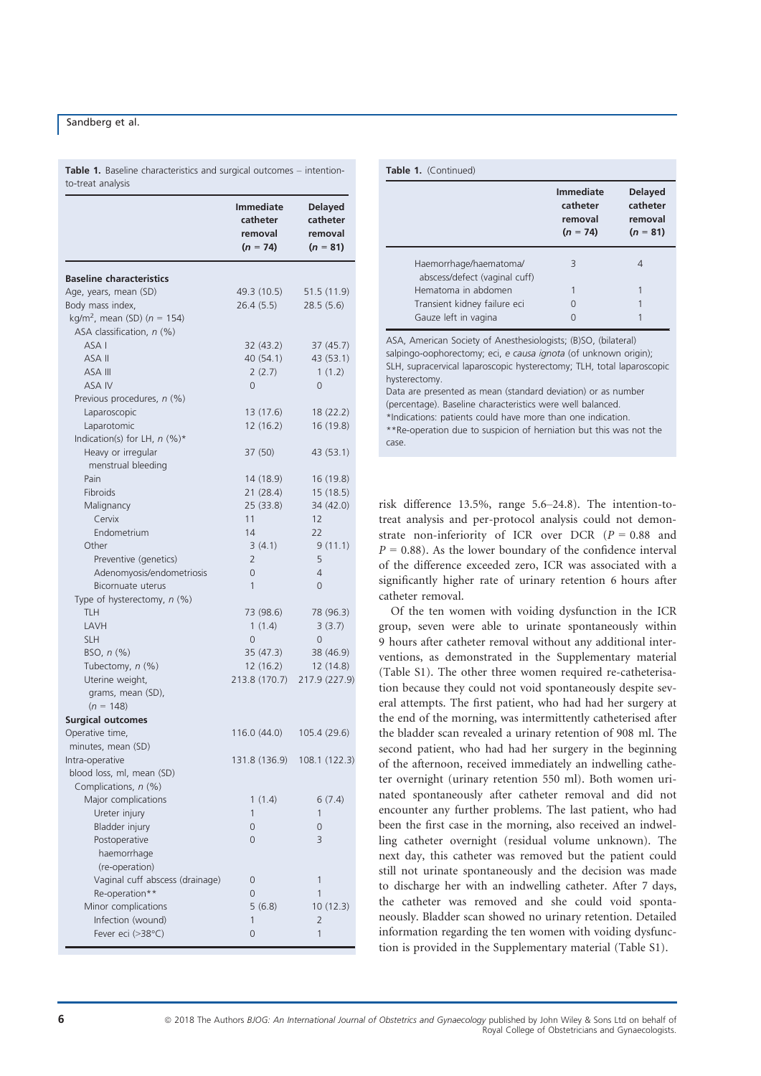Table 1. Baseline characteristics and surgical outcomes – intentionto-treat analysis

|                                             | <b>Immediate</b><br>catheter<br>removal<br>$(n = 74)$ | <b>Delayed</b><br>catheter<br>removal<br>$(n = 81)$ |
|---------------------------------------------|-------------------------------------------------------|-----------------------------------------------------|
| <b>Baseline characteristics</b>             |                                                       |                                                     |
| Age, years, mean (SD)                       | 49.3 (10.5)                                           | 51.5(11.9)                                          |
| Body mass index,                            | 26.4 (5.5)                                            | 28.5(5.6)                                           |
| kg/m <sup>2</sup> , mean (SD) ( $n = 154$ ) |                                                       |                                                     |
| ASA classification, n (%)                   |                                                       |                                                     |
| ASA I                                       | 32 (43.2)                                             | 37 (45.7)                                           |
| ASA II                                      | 40 (54.1)                                             | 43 (53.1)                                           |
| ASA III                                     | 2(2.7)                                                | 1(1.2)                                              |
| ASA IV                                      | 0                                                     | 0                                                   |
| Previous procedures, n (%)                  |                                                       |                                                     |
| Laparoscopic                                | 13 (17.6)                                             | 18 (22.2)                                           |
| Laparotomic                                 | 12(16.2)                                              | 16 (19.8)                                           |
| Indication(s) for LH, $n$ (%)*              |                                                       |                                                     |
| Heavy or irregular                          | 37 (50)                                               | 43 (53.1)                                           |
| menstrual bleeding                          |                                                       |                                                     |
| Pain                                        | 14 (18.9)                                             | 16 (19.8)                                           |
| Fibroids                                    | 21(28.4)                                              | 15(18.5)                                            |
| Malignancy                                  | 25 (33.8)                                             | 34 (42.0)                                           |
| Cervix                                      | 11                                                    | 12                                                  |
| Endometrium                                 | 14                                                    | 22                                                  |
| Other                                       | 3(4.1)                                                | 9(11.1)                                             |
| Preventive (genetics)                       | $\overline{2}$                                        | 5                                                   |
| Adenomyosis/endometriosis                   | $\overline{0}$                                        | $\overline{4}$                                      |
| Bicornuate uterus                           | $\mathbf{1}$                                          | $\overline{0}$                                      |
| Type of hysterectomy, n (%)                 |                                                       |                                                     |
| <b>TLH</b>                                  | 73 (98.6)                                             | 78 (96.3)                                           |
| LAVH                                        | 1(1.4)                                                | 3(3.7)                                              |
| <b>SLH</b><br>BSO, n (%)                    | $\overline{0}$                                        | $\overline{0}$                                      |
|                                             | 35(47.3)                                              | 38 (46.9)                                           |
| Tubectomy, n (%)<br>Uterine weight,         | 12(16.2)                                              | 12(14.8)                                            |
|                                             | 213.8 (170.7)                                         | 217.9 (227.9)                                       |
| grams, mean (SD),<br>$(n = 148)$            |                                                       |                                                     |
| <b>Surgical outcomes</b>                    |                                                       |                                                     |
| Operative time,                             | 116.0 (44.0)                                          | 105.4 (29.6)                                        |
| minutes, mean (SD)                          |                                                       |                                                     |
| Intra-operative                             | 131.8 (136.9)                                         | 108.1 (122.3)                                       |
| blood loss, ml, mean (SD)                   |                                                       |                                                     |
| Complications, n (%)                        |                                                       |                                                     |
| Major complications                         | 1(1.4)                                                | 6(7.4)                                              |
| Ureter injury                               | 1                                                     | 1                                                   |
| Bladder injury                              | 0                                                     | 0                                                   |
| Postoperative                               | $\overline{0}$                                        | 3                                                   |
| haemorrhage                                 |                                                       |                                                     |
| (re-operation)                              |                                                       |                                                     |
| Vaginal cuff abscess (drainage)             | 0                                                     | 1                                                   |
| Re-operation**                              | $\overline{0}$                                        | 1                                                   |
| Minor complications                         | 5(6.8)                                                | 10(12.3)                                            |
| Infection (wound)                           | 1                                                     | $\overline{2}$                                      |
| Fever eci (>38°C)                           | 0                                                     | 1                                                   |

| Table 1. (Continued)                                    |                                                |                                                     |
|---------------------------------------------------------|------------------------------------------------|-----------------------------------------------------|
|                                                         | Immediate<br>catheter<br>removal<br>$(n = 74)$ | <b>Delayed</b><br>catheter<br>removal<br>$(n = 81)$ |
| Haemorrhage/haematoma/<br>abscess/defect (vaginal cuff) | З                                              | 4                                                   |
| Hematoma in abdomen                                     |                                                |                                                     |
| Transient kidney failure eci                            | ∩                                              |                                                     |
| Gauze left in vagina                                    | $\cap$                                         |                                                     |

ASA, American Society of Anesthesiologists; (B)SO, (bilateral) salpingo-oophorectomy; eci, e causa ignota (of unknown origin); SLH, supracervical laparoscopic hysterectomy; TLH, total laparoscopic hysterectomy. Data are presented as mean (standard deviation) or as number (percentage). Baseline characteristics were well balanced. \*Indications: patients could have more than one indication. \*\*Re-operation due to suspicion of herniation but this was not the

case.

risk difference 13.5%, range 5.6–24.8). The intention-totreat analysis and per-protocol analysis could not demonstrate non-inferiority of ICR over DCR  $(P = 0.88$  and  $P = 0.88$ ). As the lower boundary of the confidence interval of the difference exceeded zero, ICR was associated with a significantly higher rate of urinary retention 6 hours after catheter removal.

Of the ten women with voiding dysfunction in the ICR group, seven were able to urinate spontaneously within 9 hours after catheter removal without any additional interventions, as demonstrated in the Supplementary material (Table S1). The other three women required re-catheterisation because they could not void spontaneously despite several attempts. The first patient, who had had her surgery at the end of the morning, was intermittently catheterised after the bladder scan revealed a urinary retention of 908 ml. The second patient, who had had her surgery in the beginning of the afternoon, received immediately an indwelling catheter overnight (urinary retention 550 ml). Both women urinated spontaneously after catheter removal and did not encounter any further problems. The last patient, who had been the first case in the morning, also received an indwelling catheter overnight (residual volume unknown). The next day, this catheter was removed but the patient could still not urinate spontaneously and the decision was made to discharge her with an indwelling catheter. After 7 days, the catheter was removed and she could void spontaneously. Bladder scan showed no urinary retention. Detailed information regarding the ten women with voiding dysfunction is provided in the Supplementary material (Table S1).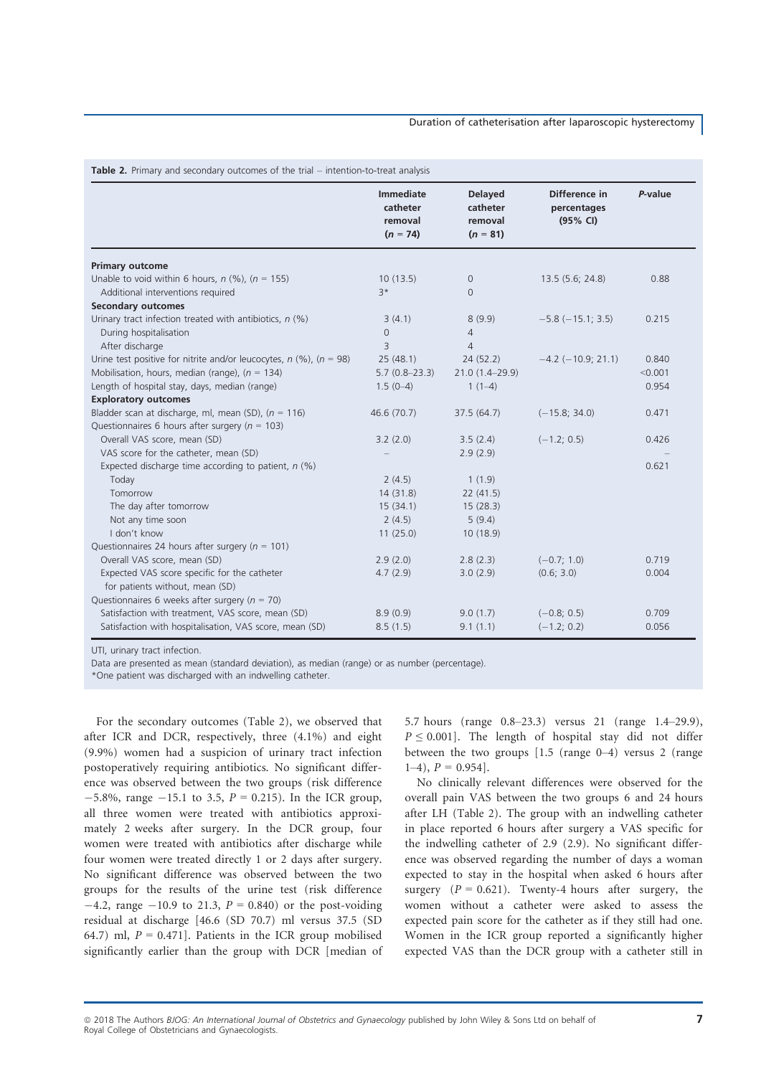#### Duration of catheterisation after laparoscopic hysterectomy

|                                                                          | <b>Immediate</b><br>catheter<br>removal<br>$(n = 74)$ | <b>Delayed</b><br>catheter<br>removal<br>$(n = 81)$ | Difference in<br>percentages<br>(95% CI) | P-value |
|--------------------------------------------------------------------------|-------------------------------------------------------|-----------------------------------------------------|------------------------------------------|---------|
| Primary outcome                                                          |                                                       |                                                     |                                          |         |
| Unable to void within 6 hours, $n$ (%), ( $n = 155$ )                    | 10(13.5)                                              | $\overline{0}$                                      | 13.5 (5.6; 24.8)                         | 0.88    |
| Additional interventions required                                        | $3*$                                                  | $\Omega$                                            |                                          |         |
| <b>Secondary outcomes</b>                                                |                                                       |                                                     |                                          |         |
| Urinary tract infection treated with antibiotics, $n$ (%)                | 3(4.1)                                                | 8(9.9)                                              | $-5.8$ ( $-15.1$ ; 3.5)                  | 0.215   |
| During hospitalisation                                                   | $\mathbf{0}$                                          | $\overline{4}$                                      |                                          |         |
| After discharge                                                          | $\overline{3}$                                        | $\overline{4}$                                      |                                          |         |
| Urine test positive for nitrite and/or leucocytes, $n$ (%), ( $n = 98$ ) | 25(48.1)                                              | 24(52.2)                                            | $-4.2$ ( $-10.9$ ; 21.1)                 | 0.840   |
| Mobilisation, hours, median (range), ( $n = 134$ )                       | $5.7(0.8-23.3)$                                       | 21.0 (1.4-29.9)                                     |                                          | < 0.001 |
| Length of hospital stay, days, median (range)                            | $1.5(0-4)$                                            | $1(1-4)$                                            |                                          | 0.954   |
| <b>Exploratory outcomes</b>                                              |                                                       |                                                     |                                          |         |
| Bladder scan at discharge, ml, mean (SD), ( $n = 116$ )                  | 46.6(70.7)                                            | 37.5(64.7)                                          | $(-15.8; 34.0)$                          | 0.471   |
| Questionnaires 6 hours after surgery ( $n = 103$ )                       |                                                       |                                                     |                                          |         |
| Overall VAS score, mean (SD)                                             | 3.2(2.0)                                              | 3.5(2.4)                                            | $(-1.2; 0.5)$                            | 0.426   |
| VAS score for the catheter, mean (SD)                                    |                                                       | 2.9(2.9)                                            |                                          |         |
| Expected discharge time according to patient, $n$ (%)                    |                                                       |                                                     |                                          | 0.621   |
| Today                                                                    | 2(4.5)                                                | 1(1.9)                                              |                                          |         |
| Tomorrow                                                                 | 14(31.8)                                              | 22(41.5)                                            |                                          |         |
| The day after tomorrow                                                   | 15(34.1)                                              | 15(28.3)                                            |                                          |         |
| Not any time soon                                                        | 2(4.5)                                                | 5(9.4)                                              |                                          |         |
| I don't know                                                             | 11(25.0)                                              | 10(18.9)                                            |                                          |         |
| Questionnaires 24 hours after surgery ( $n = 101$ )                      |                                                       |                                                     |                                          |         |
| Overall VAS score, mean (SD)                                             | 2.9(2.0)                                              | 2.8(2.3)                                            | $(-0.7; 1.0)$                            | 0.719   |
| Expected VAS score specific for the catheter                             | 4.7(2.9)                                              | 3.0(2.9)                                            | (0.6; 3.0)                               | 0.004   |
| for patients without, mean (SD)                                          |                                                       |                                                     |                                          |         |
| Questionnaires 6 weeks after surgery ( $n = 70$ )                        |                                                       |                                                     |                                          |         |
| Satisfaction with treatment, VAS score, mean (SD)                        | 8.9(0.9)                                              | 9.0(1.7)                                            | $(-0.8; 0.5)$                            | 0.709   |
| Satisfaction with hospitalisation, VAS score, mean (SD)                  | 8.5(1.5)                                              | 9.1(1.1)                                            | $(-1.2; 0.2)$                            | 0.056   |

Table 2. Primary and secondary outcomes of the trial – intention-to-treat analysis

UTI, urinary tract infection.

Data are presented as mean (standard deviation), as median (range) or as number (percentage).

\*One patient was discharged with an indwelling catheter.

For the secondary outcomes (Table 2), we observed that after ICR and DCR, respectively, three (4.1%) and eight (9.9%) women had a suspicion of urinary tract infection postoperatively requiring antibiotics. No significant difference was observed between the two groups (risk difference  $-5.8\%$ , range  $-15.1$  to 3.5,  $P = 0.215$ ). In the ICR group, all three women were treated with antibiotics approximately 2 weeks after surgery. In the DCR group, four women were treated with antibiotics after discharge while four women were treated directly 1 or 2 days after surgery. No significant difference was observed between the two groups for the results of the urine test (risk difference  $-4.2$ , range  $-10.9$  to 21.3,  $P = 0.840$  or the post-voiding residual at discharge [46.6 (SD 70.7) ml versus 37.5 (SD 64.7) ml,  $P = 0.471$ . Patients in the ICR group mobilised significantly earlier than the group with DCR [median of

5.7 hours (range 0.8–23.3) versus 21 (range 1.4–29.9),  $P \leq 0.001$ . The length of hospital stay did not differ between the two groups [1.5 (range 0–4) versus 2 (range  $1-4$ ,  $P = 0.954$ .

No clinically relevant differences were observed for the overall pain VAS between the two groups 6 and 24 hours after LH (Table 2). The group with an indwelling catheter in place reported 6 hours after surgery a VAS specific for the indwelling catheter of 2.9 (2.9). No significant difference was observed regarding the number of days a woman expected to stay in the hospital when asked 6 hours after surgery  $(P = 0.621)$ . Twenty-4 hours after surgery, the women without a catheter were asked to assess the expected pain score for the catheter as if they still had one. Women in the ICR group reported a significantly higher expected VAS than the DCR group with a catheter still in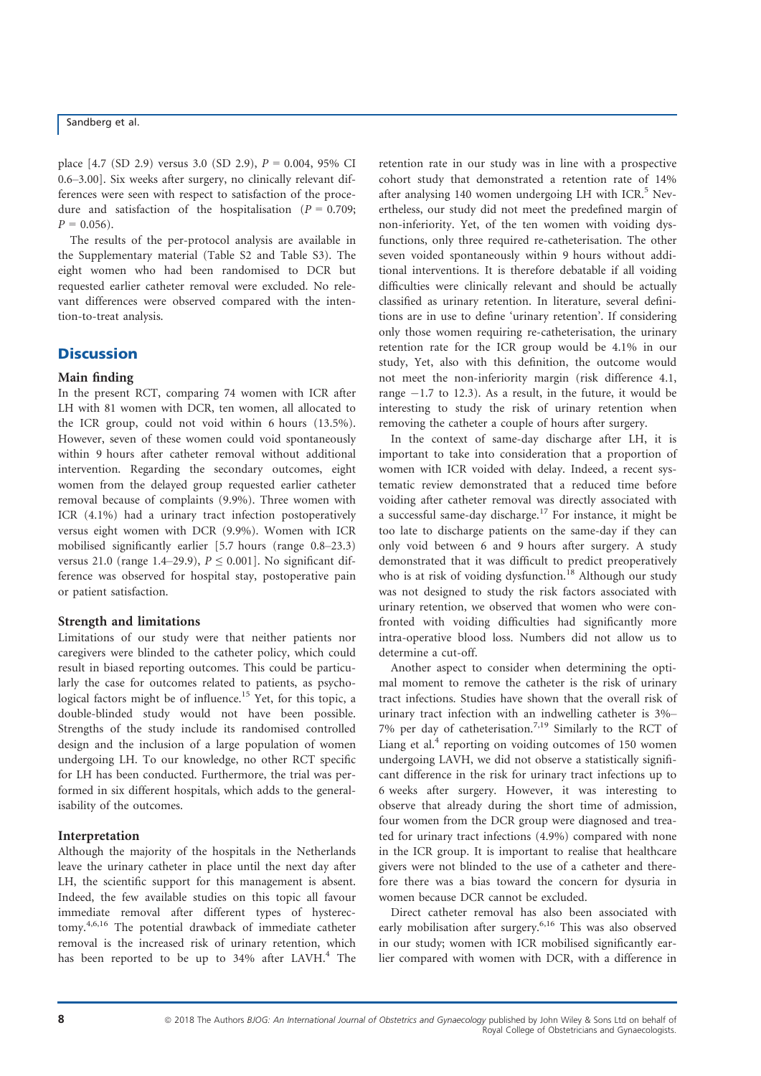place [4.7 (SD 2.9) versus 3.0 (SD 2.9),  $P = 0.004$ , 95% CI 0.6–3.00]. Six weeks after surgery, no clinically relevant differences were seen with respect to satisfaction of the procedure and satisfaction of the hospitalisation ( $P = 0.709$ ;  $P = 0.056$ .

The results of the per-protocol analysis are available in the Supplementary material (Table S2 and Table S3). The eight women who had been randomised to DCR but requested earlier catheter removal were excluded. No relevant differences were observed compared with the intention-to-treat analysis.

## **Discussion**

#### Main finding

In the present RCT, comparing 74 women with ICR after LH with 81 women with DCR, ten women, all allocated to the ICR group, could not void within 6 hours (13.5%). However, seven of these women could void spontaneously within 9 hours after catheter removal without additional intervention. Regarding the secondary outcomes, eight women from the delayed group requested earlier catheter removal because of complaints (9.9%). Three women with ICR (4.1%) had a urinary tract infection postoperatively versus eight women with DCR (9.9%). Women with ICR mobilised significantly earlier [5.7 hours (range 0.8–23.3) versus 21.0 (range 1.4–29.9),  $P \le 0.001$ ]. No significant difference was observed for hospital stay, postoperative pain or patient satisfaction.

#### Strength and limitations

Limitations of our study were that neither patients nor caregivers were blinded to the catheter policy, which could result in biased reporting outcomes. This could be particularly the case for outcomes related to patients, as psychological factors might be of influence.<sup>15</sup> Yet, for this topic, a double-blinded study would not have been possible. Strengths of the study include its randomised controlled design and the inclusion of a large population of women undergoing LH. To our knowledge, no other RCT specific for LH has been conducted. Furthermore, the trial was performed in six different hospitals, which adds to the generalisability of the outcomes.

#### Interpretation

Although the majority of the hospitals in the Netherlands leave the urinary catheter in place until the next day after LH, the scientific support for this management is absent. Indeed, the few available studies on this topic all favour immediate removal after different types of hysterectomy.4,6,16 The potential drawback of immediate catheter removal is the increased risk of urinary retention, which has been reported to be up to  $34\%$  after LAVH.<sup>4</sup> The

retention rate in our study was in line with a prospective cohort study that demonstrated a retention rate of 14% after analysing 140 women undergoing LH with ICR. $5$  Nevertheless, our study did not meet the predefined margin of non-inferiority. Yet, of the ten women with voiding dysfunctions, only three required re-catheterisation. The other seven voided spontaneously within 9 hours without additional interventions. It is therefore debatable if all voiding difficulties were clinically relevant and should be actually classified as urinary retention. In literature, several definitions are in use to define 'urinary retention'. If considering only those women requiring re-catheterisation, the urinary retention rate for the ICR group would be 4.1% in our study, Yet, also with this definition, the outcome would not meet the non-inferiority margin (risk difference 4.1, range  $-1.7$  to 12.3). As a result, in the future, it would be interesting to study the risk of urinary retention when removing the catheter a couple of hours after surgery.

In the context of same-day discharge after LH, it is important to take into consideration that a proportion of women with ICR voided with delay. Indeed, a recent systematic review demonstrated that a reduced time before voiding after catheter removal was directly associated with a successful same-day discharge.<sup>17</sup> For instance, it might be too late to discharge patients on the same-day if they can only void between 6 and 9 hours after surgery. A study demonstrated that it was difficult to predict preoperatively who is at risk of voiding dysfunction.<sup>18</sup> Although our study was not designed to study the risk factors associated with urinary retention, we observed that women who were confronted with voiding difficulties had significantly more intra-operative blood loss. Numbers did not allow us to determine a cut-off.

Another aspect to consider when determining the optimal moment to remove the catheter is the risk of urinary tract infections. Studies have shown that the overall risk of urinary tract infection with an indwelling catheter is 3%– 7% per day of catheterisation.7,19 Similarly to the RCT of Liang et al. $4$  reporting on voiding outcomes of 150 women undergoing LAVH, we did not observe a statistically significant difference in the risk for urinary tract infections up to 6 weeks after surgery. However, it was interesting to observe that already during the short time of admission, four women from the DCR group were diagnosed and treated for urinary tract infections (4.9%) compared with none in the ICR group. It is important to realise that healthcare givers were not blinded to the use of a catheter and therefore there was a bias toward the concern for dysuria in women because DCR cannot be excluded.

Direct catheter removal has also been associated with early mobilisation after surgery.<sup>6,16</sup> This was also observed in our study; women with ICR mobilised significantly earlier compared with women with DCR, with a difference in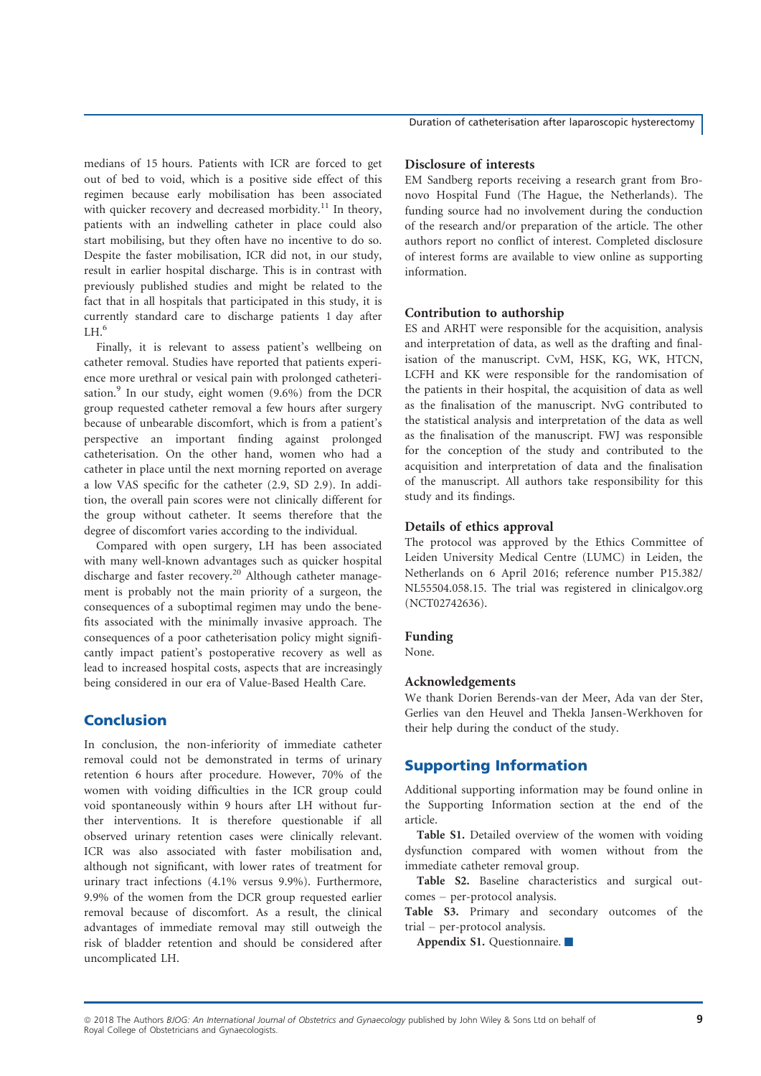medians of 15 hours. Patients with ICR are forced to get out of bed to void, which is a positive side effect of this regimen because early mobilisation has been associated with quicker recovery and decreased morbidity.<sup>11</sup> In theory, patients with an indwelling catheter in place could also start mobilising, but they often have no incentive to do so. Despite the faster mobilisation, ICR did not, in our study, result in earlier hospital discharge. This is in contrast with previously published studies and might be related to the fact that in all hospitals that participated in this study, it is currently standard care to discharge patients 1 day after  $LH<sup>6</sup>$ 

Finally, it is relevant to assess patient's wellbeing on catheter removal. Studies have reported that patients experience more urethral or vesical pain with prolonged catheterisation. $9 \text{ In our study, eight women } (9.6\%)$  from the DCR group requested catheter removal a few hours after surgery because of unbearable discomfort, which is from a patient's perspective an important finding against prolonged catheterisation. On the other hand, women who had a catheter in place until the next morning reported on average a low VAS specific for the catheter (2.9, SD 2.9). In addition, the overall pain scores were not clinically different for the group without catheter. It seems therefore that the degree of discomfort varies according to the individual.

Compared with open surgery, LH has been associated with many well-known advantages such as quicker hospital discharge and faster recovery.<sup>20</sup> Although catheter management is probably not the main priority of a surgeon, the consequences of a suboptimal regimen may undo the benefits associated with the minimally invasive approach. The consequences of a poor catheterisation policy might significantly impact patient's postoperative recovery as well as lead to increased hospital costs, aspects that are increasingly being considered in our era of Value-Based Health Care.

# Conclusion

In conclusion, the non-inferiority of immediate catheter removal could not be demonstrated in terms of urinary retention 6 hours after procedure. However, 70% of the women with voiding difficulties in the ICR group could void spontaneously within 9 hours after LH without further interventions. It is therefore questionable if all observed urinary retention cases were clinically relevant. ICR was also associated with faster mobilisation and, although not significant, with lower rates of treatment for urinary tract infections (4.1% versus 9.9%). Furthermore, 9.9% of the women from the DCR group requested earlier removal because of discomfort. As a result, the clinical advantages of immediate removal may still outweigh the risk of bladder retention and should be considered after uncomplicated LH.

#### Disclosure of interests

EM Sandberg reports receiving a research grant from Bronovo Hospital Fund (The Hague, the Netherlands). The funding source had no involvement during the conduction of the research and/or preparation of the article. The other authors report no conflict of interest. Completed disclosure of interest forms are available to view online as supporting information.

#### Contribution to authorship

ES and ARHT were responsible for the acquisition, analysis and interpretation of data, as well as the drafting and finalisation of the manuscript. CvM, HSK, KG, WK, HTCN, LCFH and KK were responsible for the randomisation of the patients in their hospital, the acquisition of data as well as the finalisation of the manuscript. NvG contributed to the statistical analysis and interpretation of the data as well as the finalisation of the manuscript. FWJ was responsible for the conception of the study and contributed to the acquisition and interpretation of data and the finalisation of the manuscript. All authors take responsibility for this study and its findings.

#### Details of ethics approval

The protocol was approved by the Ethics Committee of Leiden University Medical Centre (LUMC) in Leiden, the Netherlands on 6 April 2016; reference number P15.382/ NL55504.058.15. The trial was registered in clinicalgov.org (NCT02742636).

#### Funding

None.

#### Acknowledgements

We thank Dorien Berends-van der Meer, Ada van der Ster, Gerlies van den Heuvel and Thekla Jansen-Werkhoven for their help during the conduct of the study.

# Supporting Information

Additional supporting information may be found online in the Supporting Information section at the end of the article.

Table S1. Detailed overview of the women with voiding dysfunction compared with women without from the immediate catheter removal group.

Table S2. Baseline characteristics and surgical outcomes – per-protocol analysis.

Table S3. Primary and secondary outcomes of the trial – per-protocol analysis.

Appendix S1. Questionnaire.